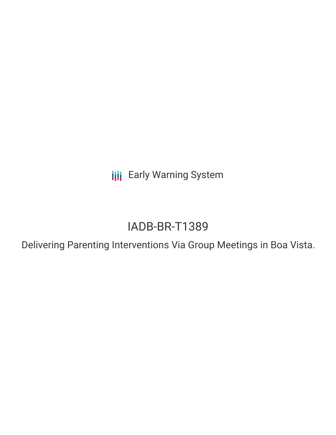**III** Early Warning System

# IADB-BR-T1389

Delivering Parenting Interventions Via Group Meetings in Boa Vista.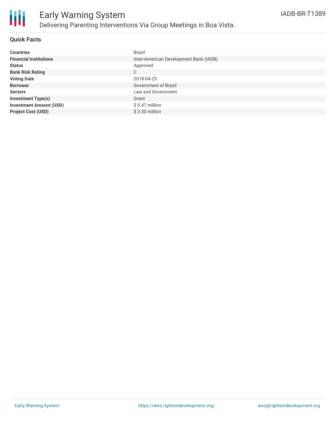

### **Quick Facts**

| <b>Countries</b>               | Brazil                                 |
|--------------------------------|----------------------------------------|
| <b>Financial Institutions</b>  | Inter-American Development Bank (IADB) |
| <b>Status</b>                  | Approved                               |
| <b>Bank Risk Rating</b>        | С                                      |
| <b>Voting Date</b>             | 2018-04-25                             |
| <b>Borrower</b>                | Government of Brazil                   |
| <b>Sectors</b>                 | Law and Government                     |
| <b>Investment Type(s)</b>      | Grant                                  |
| <b>Investment Amount (USD)</b> | $$0.47$ million                        |
| <b>Project Cost (USD)</b>      | $$3.30$ million                        |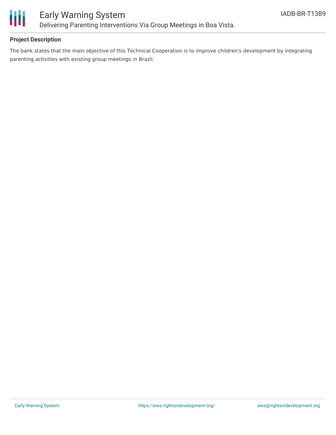

## **Project Description**

The bank states that the main objective of this Technical Cooperation is to improve children's development by integrating parenting activities with existing group meetings in Brazil.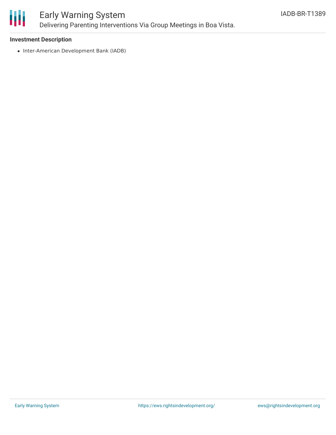

# Early Warning System Delivering Parenting Interventions Via Group Meetings in Boa Vista.

### **Investment Description**

• Inter-American Development Bank (IADB)